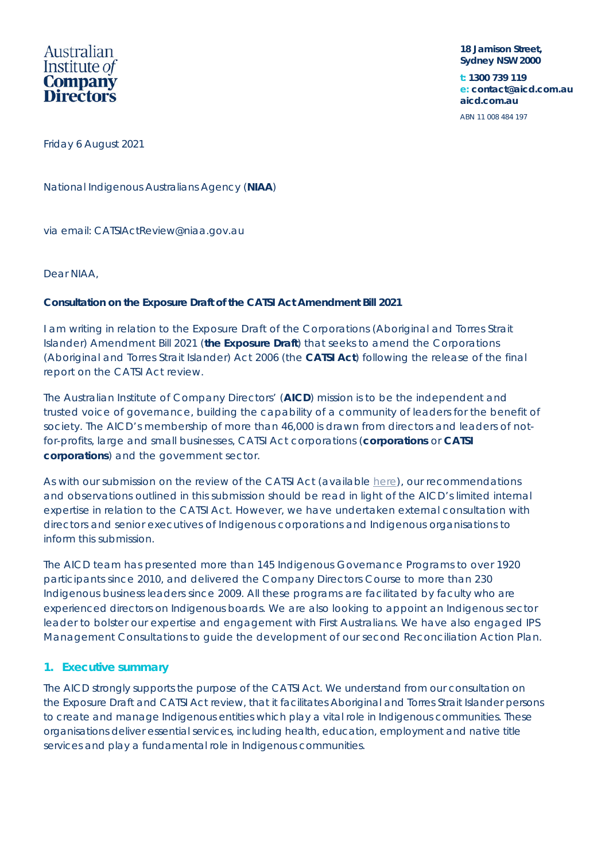

**18 Jamison Street, Sydney NSW 2000**

**t: 1300 739 119 e: contact@aicd.com.au aicd.com.au** 

ABN 11 008 484 197

Friday 6 August 2021

National Indigenous Australians Agency (**NIAA**)

via email: CATSIActReview@niaa.gov.au

Dear NIAA,

## **Consultation on the Exposure Draft of the CATSI Act Amendment Bill 2021**

I am writing in relation to the Exposure Draft of the *Corporations (Aboriginal and Torres Strait Islander) Amendment Bill 2021* (**the Exposure Draft**) that seeks to amend the *Corporations (Aboriginal and Torres Strait Islander) Act 2006* (the **CATSI Act**) following the release of the final report on the CATSI Act review.

The Australian Institute of Company Directors' (**AICD**) mission is to be the independent and trusted voice of governance, building the capability of a community of leaders for the benefit of society. The AICD's membership of more than 46,000 is drawn from directors and leaders of notfor-profits, large and small businesses, CATSI Act corporations (**corporations** or **CATSI corporations**) and the government sector.

As with our submission on the review of the CATSI Act (available here), our recommendations and observations outlined in this submission should be read in light of the AICD's limited internal expertise in relation to the CATSI Act. However, we have undertaken external consultation with directors and senior executives of Indigenous corporations and Indigenous organisations to inform this submission.

The AICD team has presented more than 145 Indigenous Governance Programs to over 1920 participants since 2010, and delivered the Company Directors Course to more than 230 Indigenous business leaders since 2009. All these programs are facilitated by faculty who are experienced directors on Indigenous boards. We are also looking to appoint an Indigenous sector leader to bolster our expertise and engagement with First Australians. We have also engaged IPS Management Consultations to guide the development of our second Reconciliation Action Plan.

# **1. Executive summary**

The AICD strongly supports the purpose of the CATSI Act. We understand from our consultation on the Exposure Draft and CATSI Act review, that it facilitates Aboriginal and Torres Strait Islander persons to create and manage Indigenous entities which play a vital role in Indigenous communities. These organisations deliver essential services, including health, education, employment and native title services and play a fundamental role in Indigenous communities.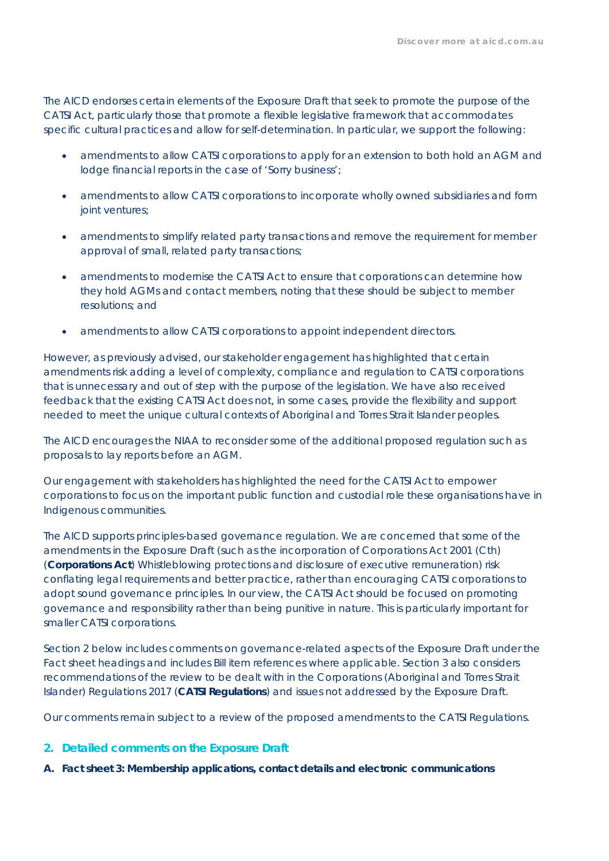The AICD endorses certain elements of the Exposure Draft that seek to promote the purpose of the CATSI Act, particularly those that promote a flexible legislative framework that accommodates specific cultural practices and allow for self-determination. In particular, we support the following:

- amendments to allow CATSI corporations to apply for an extension to both hold an AGM and lodge financial reports in the case of 'Sorry business';
- amendments to allow CATSI corporations to incorporate wholly owned subsidiaries and form joint ventures;
- amendments to simplify related party transactions and remove the requirement for member approval of small, related party transactions;
- amendments to modernise the CATSI Act to ensure that corporations can determine how they hold AGMs and contact members, noting that these should be subject to member resolutions; and
- amendments to allow CATSI corporations to appoint independent directors.

However, as previously advised, our stakeholder engagement has highlighted that certain amendments risk adding a level of complexity, compliance and regulation to CATSI corporations that is unnecessary and out of step with the purpose of the legislation. We have also received feedback that the existing CATSI Act does not, in some cases, provide the flexibility and support needed to meet the unique cultural contexts of Aboriginal and Torres Strait Islander peoples.

The AICD encourages the NIAA to reconsider some of the additional proposed regulation such as proposals to lay reports before an AGM.

Our engagement with stakeholders has highlighted the need for the CATSI Act to empower corporations to focus on the important public function and custodial role these organisations have in Indigenous communities.

The AICD supports principles-based governance regulation. We are concerned that some of the amendments in the Exposure Draft (such as the incorporation of *Corporations Act 2001 (Cth)* (**Corporations Act**) Whistleblowing protections and disclosure of executive remuneration) risk conflating legal requirements and better practice, rather than encouraging CATSI corporations to adopt sound governance principles. In our view, the CATSI Act should be focused on promoting governance and responsibility rather than being punitive in nature. This is particularly important for smaller CATSI corporations.

Section 2 below includes comments on governance-related aspects of the Exposure Draft under the Fact sheet headings and includes Bill item references where applicable. Section 3 also considers recommendations of the review to be dealt with in the *Corporations (Aboriginal and Torres Strait Islander) Regulations 2017* (**CATSI Regulations**) and issues not addressed by the Exposure Draft.

Our comments remain subject to a review of the proposed amendments to the CATSI Regulations.

- **2. Detailed comments on the Exposure Draft**
- **A. Fact sheet 3: Membership applications, contact details and electronic communications**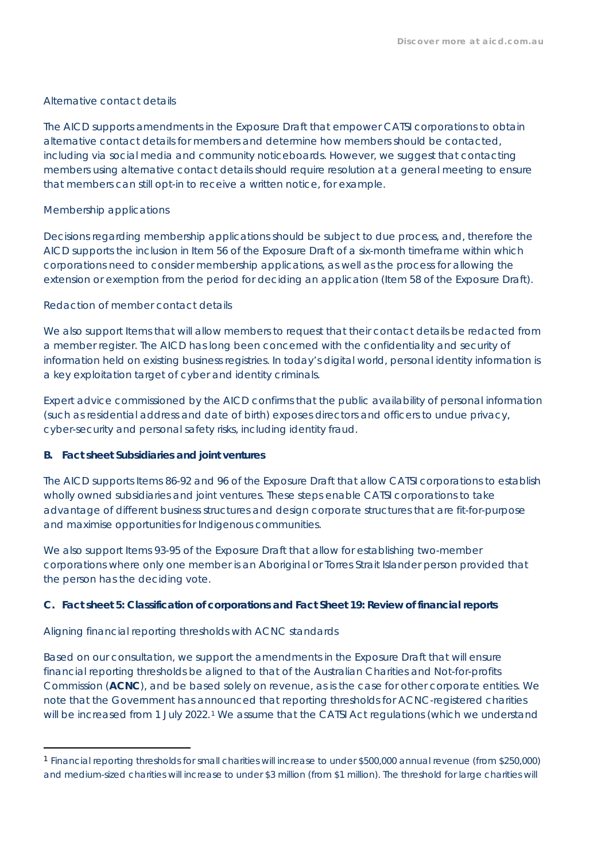#### *Alternative contact details*

The AICD supports amendments in the Exposure Draft that empower CATSI corporations to obtain alternative contact details for members and determine how members should be contacted, including via social media and community noticeboards. However, we suggest that contacting members using alternative contact details should require resolution at a general meeting to ensure that members can still opt-in to receive a written notice, for example.

## *Membership applications*

Decisions regarding membership applications should be subject to due process, and, therefore the AICD supports the inclusion in Item 56 of the Exposure Draft of a six-month timeframe within which corporations need to consider membership applications, as well as the process for allowing the extension or exemption from the period for deciding an application (Item 58 of the Exposure Draft).

## *Redaction of member contact details*

We also support Items that will allow members to request that their contact details be redacted from a member register. The AICD has long been concerned with the confidentiality and security of information held on existing business registries. In today's digital world, personal identity information is a key exploitation target of cyber and identity criminals.

Expert advice commissioned by the AICD confirms that the public availability of personal information (such as residential address and date of birth) exposes directors and officers to undue privacy, cyber-security and personal safety risks, including identity fraud.

#### **B. Fact sheet Subsidiaries and joint ventures**

The AICD supports Items 86-92 and 96 of the Exposure Draft that allow CATSI corporations to establish wholly owned subsidiaries and joint ventures. These steps enable CATSI corporations to take advantage of different business structures and design corporate structures that are fit-for-purpose and maximise opportunities for Indigenous communities.

We also support Items 93-95 of the Exposure Draft that allow for establishing two-member corporations where only one member is an Aboriginal or Torres Strait Islander person provided that the person has the deciding vote.

# **C. Fact sheet 5: Classification of corporations and Fact Sheet 19: Review of financial reports**

# *Aligning financial reporting thresholds with ACNC standards*

Based on our consultation, we support the amendments in the Exposure Draft that will ensure financial reporting thresholds be aligned to that of the Australian Charities and Not-for-profits Commission (**ACNC**), and be based solely on revenue, as is the case for other corporate entities. We note that the Government has announced that reporting thresholds for ACNC-registered charities will be increased from 1 July 2022.<sup>1</sup> We assume that the CATSI Act regulations (which we understand

<sup>1</sup> Financial reporting thresholds for small charities will increase to under \$500,000 annual revenue (from \$250,000) and medium-sized charities will increase to under \$3 million (from \$1 million). The threshold for large charities will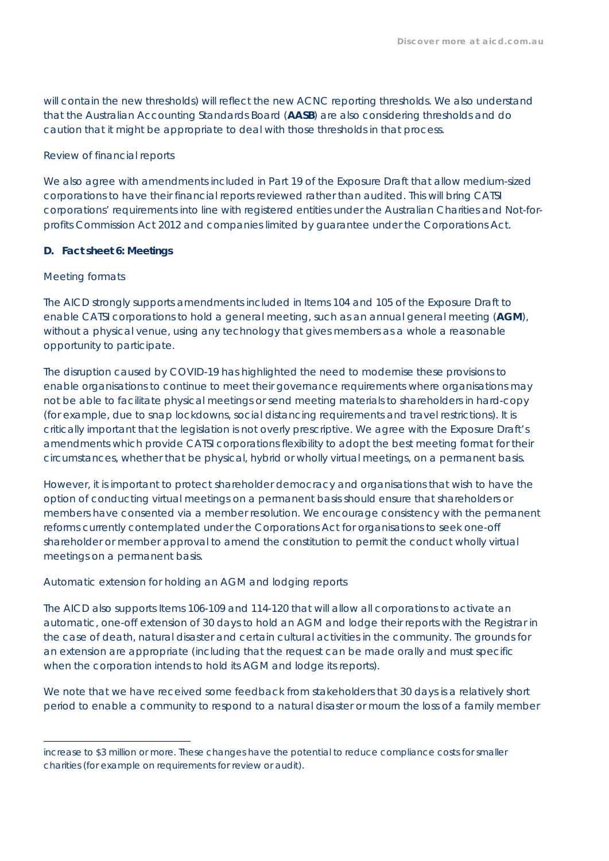will contain the new thresholds) will reflect the new ACNC reporting thresholds. We also understand that the Australian Accounting Standards Board (**AASB**) are also considering thresholds and do caution that it might be appropriate to deal with those thresholds in that process.

### *Review of financial reports*

We also agree with amendments included in Part 19 of the Exposure Draft that allow medium-sized corporations to have their financial reports reviewed rather than audited. This will bring CATSI corporations' requirements into line with registered entities under the Australian Charities and Not-forprofits Commission Act 2012 and companies limited by guarantee under the Corporations Act.

## **D. Fact sheet 6: Meetings**

## *Meeting formats*

The AICD strongly supports amendments included in Items 104 and 105 of the Exposure Draft to enable CATSI corporations to hold a general meeting, such as an annual general meeting (**AGM**), without a physical venue, using any technology that gives members as a whole a reasonable opportunity to participate.

The disruption caused by COVID-19 has highlighted the need to modernise these provisions to enable organisations to continue to meet their governance requirements where organisations may not be able to facilitate physical meetings or send meeting materials to shareholders in hard-copy (for example, due to snap lockdowns, social distancing requirements and travel restrictions). It is critically important that the legislation is not overly prescriptive. We agree with the Exposure Draft's amendments which provide CATSI corporations flexibility to adopt the best meeting format for their circumstances, whether that be physical, hybrid or wholly virtual meetings, on a permanent basis.

However, it is important to protect shareholder democracy and organisations that wish to have the option of conducting virtual meetings on a permanent basis should ensure that shareholders or members have consented via a member resolution. We encourage consistency with the permanent reforms currently contemplated under the Corporations Act for organisations to seek one-off shareholder or member approval to amend the constitution to permit the conduct wholly virtual meetings on a permanent basis.

# *Automatic extension for holding an AGM and lodging reports*

The AICD also supports Items 106-109 and 114-120 that will allow all corporations to activate an automatic, one-off extension of 30 days to hold an AGM and lodge their reports with the Registrar in the case of death, natural disaster and certain cultural activities in the community. The grounds for an extension are appropriate (including that the request can be made orally and must specific when the corporation intends to hold its AGM and lodge its reports).

We note that we have received some feedback from stakeholders that 30 days is a relatively short period to enable a community to respond to a natural disaster or mourn the loss of a family member

increase to \$3 million or more. These changes have the potential to reduce compliance costs for smaller charities (for example on requirements for review or audit).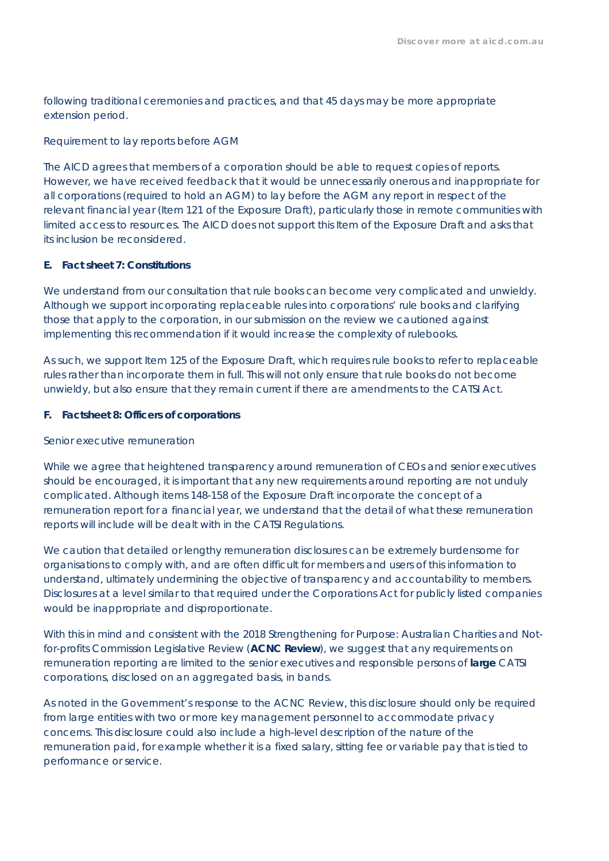following traditional ceremonies and practices, and that 45 days may be more appropriate extension period.

### *Requirement to lay reports before AGM*

The AICD agrees that members of a corporation should be able to request copies of reports. However, we have received feedback that it would be unnecessarily onerous and inappropriate for all corporations (required to hold an AGM) to lay before the AGM any report in respect of the relevant financial year (Item 121 of the Exposure Draft), particularly those in remote communities with limited access to resources. The AICD does not support this Item of the Exposure Draft and asks that its inclusion be reconsidered.

## **E. Fact sheet 7: Constitutions**

We understand from our consultation that rule books can become very complicated and unwieldy. Although we support incorporating replaceable rules into corporations' rule books and clarifying those that apply to the corporation, in our submission on the review we cautioned against implementing this recommendation if it would increase the complexity of rulebooks.

As such, we support Item 125 of the Exposure Draft, which requires rule books to refer to replaceable rules rather than incorporate them in full. This will not only ensure that rule books do not become unwieldy, but also ensure that they remain current if there are amendments to the CATSI Act.

## **F. Factsheet 8: Officers of corporations**

#### *Senior executive remuneration*

While we agree that heightened transparency around remuneration of CEOs and senior executives should be encouraged, it is important that any new requirements around reporting are not unduly complicated. Although items 148-158 of the Exposure Draft incorporate the concept of a remuneration report for a financial year, we understand that the detail of what these remuneration reports will include will be dealt with in the CATSI Regulations.

We caution that detailed or lengthy remuneration disclosures can be extremely burdensome for organisations to comply with, and are often difficult for members and users of this information to understand, ultimately undermining the objective of transparency and accountability to members. Disclosures at a level similar to that required under the Corporations Act for publicly listed companies would be inappropriate and disproportionate.

With this in mind and consistent with the 2018 Strengthening for Purpose: Australian Charities and Notfor-profits Commission Legislative Review (**ACNC Review**), we suggest that any requirements on remuneration reporting are limited to the senior executives and responsible persons of **large** CATSI corporations, disclosed on an aggregated basis, in bands.

As noted in the Government's response to the ACNC Review, this disclosure should only be required from large entities with two or more key management personnel to accommodate privacy concerns. This disclosure could also include a high-level description of the nature of the remuneration paid, for example whether it is a fixed salary, sitting fee or variable pay that is tied to performance or service.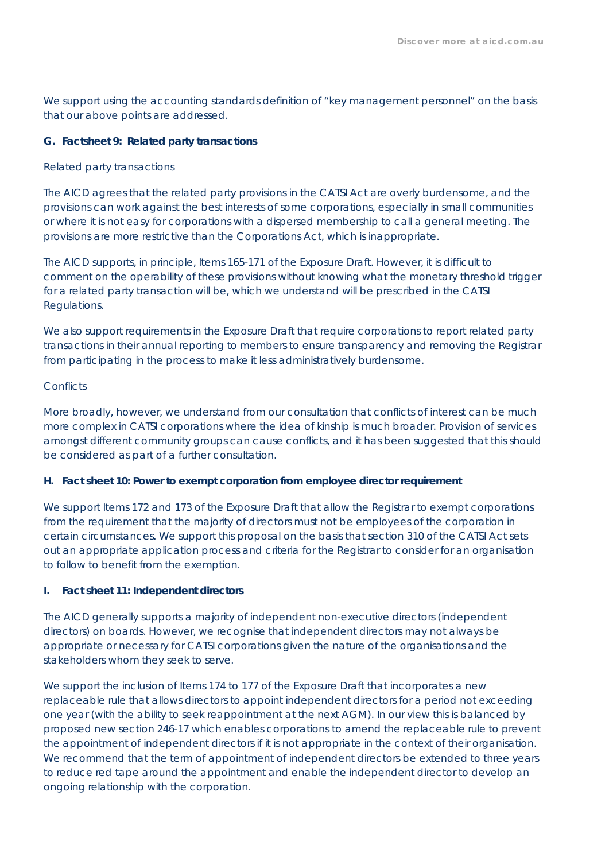We support using the accounting standards definition of "key management personnel" on the basis that our above points are addressed.

## **G. Factsheet 9: Related party transactions**

#### *Related party transactions*

The AICD agrees that the related party provisions in the CATSI Act are overly burdensome, and the provisions can work against the best interests of some corporations, especially in small communities or where it is not easy for corporations with a dispersed membership to call a general meeting. The provisions are more restrictive than the Corporations Act, which is inappropriate.

The AICD supports, in principle, Items 165-171 of the Exposure Draft. However, it is difficult to comment on the operability of these provisions without knowing what the monetary threshold trigger for a related party transaction will be, which we understand will be prescribed in the CATSI Regulations.

We also support requirements in the Exposure Draft that require corporations to report related party transactions in their annual reporting to members to ensure transparency and removing the Registrar from participating in the process to make it less administratively burdensome.

## *Conflicts*

More broadly, however, we understand from our consultation that conflicts of interest can be much more complex in CATSI corporations where the idea of kinship is much broader. Provision of services amongst different community groups can cause conflicts, and it has been suggested that this should be considered as part of a further consultation.

#### **H. Fact sheet 10: Power to exempt corporation from employee director requirement**

We support Items 172 and 173 of the Exposure Draft that allow the Registrar to exempt corporations from the requirement that the majority of directors must not be employees of the corporation in certain circumstances. We support this proposal on the basis that section 310 of the CATSI Act sets out an appropriate application process and criteria for the Registrar to consider for an organisation to follow to benefit from the exemption.

#### **I. Fact sheet 11: Independent directors**

The AICD generally supports a majority of independent non-executive directors (independent directors) on boards. However, we recognise that independent directors may not always be appropriate or necessary for CATSI corporations given the nature of the organisations and the stakeholders whom they seek to serve.

We support the inclusion of Items 174 to 177 of the Exposure Draft that incorporates a new replaceable rule that allows directors to appoint independent directors for a period not exceeding one year (with the ability to seek reappointment at the next AGM). In our view this is balanced by proposed new section 246-17 which enables corporations to amend the replaceable rule to prevent the appointment of independent directors if it is not appropriate in the context of their organisation. We recommend that the term of appointment of independent directors be extended to three years to reduce red tape around the appointment and enable the independent director to develop an ongoing relationship with the corporation.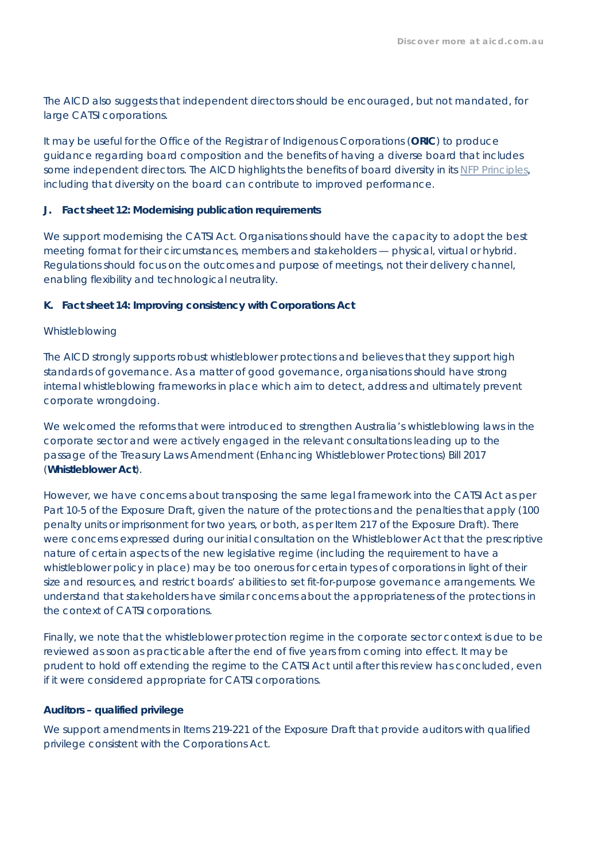The AICD also suggests that independent directors should be encouraged, but not mandated, for large CATSI corporations.

It may be useful for the Office of the Registrar of Indigenous Corporations (**ORIC**) to produce guidance regarding board composition and the benefits of having a diverse board that includes some independent directors. The AICD highlights the benefits of board diversity in its NFP Principles, including that diversity on the board can contribute to improved performance.

#### **J. Fact sheet 12: Modernising publication requirements**

We support modernising the CATSI Act. Organisations should have the capacity to adopt the best meeting format for their circumstances, members and stakeholders — physical, virtual or hybrid. Regulations should focus on the outcomes and purpose of meetings, not their delivery channel, enabling flexibility and technological neutrality.

#### **K. Fact sheet 14: Improving consistency with Corporations Act**

#### *Whistleblowing*

The AICD strongly supports robust whistleblower protections and believes that they support high standards of governance. As a matter of good governance, organisations should have strong internal whistleblowing frameworks in place which aim to detect, address and ultimately prevent corporate wrongdoing.

We welcomed the reforms that were introduced to strengthen Australia's whistleblowing laws in the corporate sector and were actively engaged in the relevant consultations leading up to the passage of the *Treasury Laws Amendment (Enhancing Whistleblower Protections) Bill 2017* (**Whistleblower Act**).

However, we have concerns about transposing the same legal framework into the CATSI Act as per Part 10-5 of the Exposure Draft, given the nature of the protections and the penalties that apply (100 penalty units or imprisonment for two years, or both, as per Item 217 of the Exposure Draft). There were concerns expressed during our initial consultation on the Whistleblower Act that the prescriptive nature of certain aspects of the new legislative regime (including the requirement to have a whistleblower policy in place) may be too onerous for certain types of corporations in light of their size and resources, and restrict boards' abilities to set fit-for-purpose governance arrangements. We understand that stakeholders have similar concerns about the appropriateness of the protections in the context of CATSI corporations.

Finally, we note that the whistleblower protection regime in the corporate sector context is due to be reviewed as soon as practicable after the end of five years from coming into effect. It may be prudent to hold off extending the regime to the CATSI Act until after this review has concluded, even if it were considered appropriate for CATSI corporations.

#### *Auditors – qualified privilege*

We support amendments in Items 219-221 of the Exposure Draft that provide auditors with qualified privilege consistent with the Corporations Act.